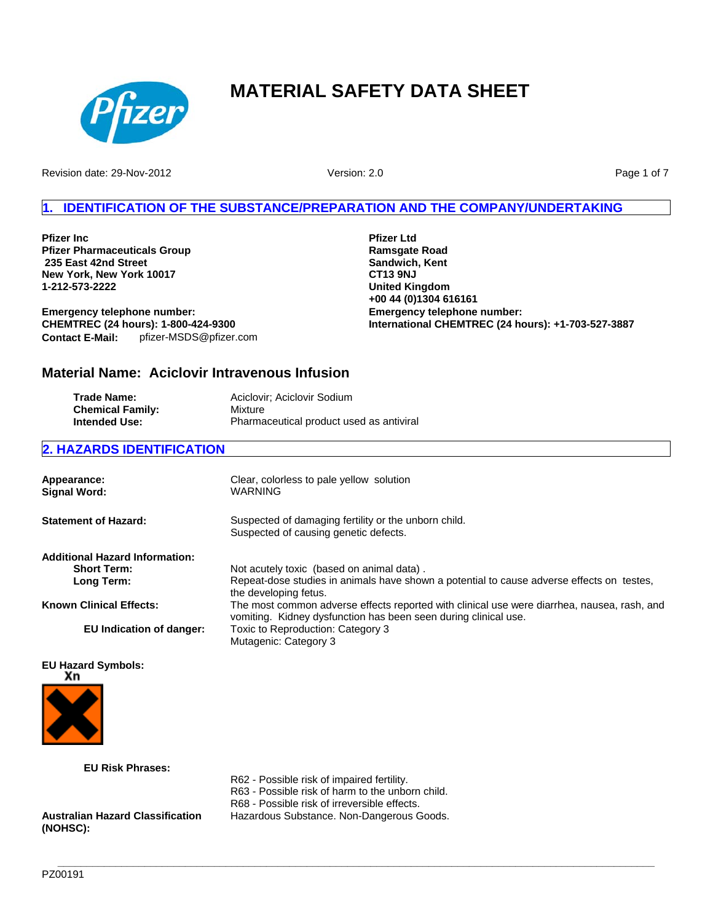

Revision date: 29-Nov-2012

Version: 2.0

Page 1 of 7

# **1. IDENTIFICATION OF THE SUBSTANCE/PREPARATION AND THE COMPANY/UNDERTAKING**

**Pfizer Inc Pfizer Pharmaceuticals Group 235 East 42nd Street New York, New York 10017 1-212-573-2222**

**Emergency telephone number: CHEMTREC (24 hours): 1-800-424-9300 Contact E-Mail:** pfizer-MSDS@pfizer.com **Pfizer Ltd Ramsgate Road Sandwich, Kent CT13 9NJ United Kingdom +00 44 (0)1304 616161 Emergency telephone number: International CHEMTREC (24 hours): +1-703-527-3887**

# **Material Name: Aciclovir Intravenous Infusion**

| Trade Name:             | Aciclovir; Aciclovir Sodium              |
|-------------------------|------------------------------------------|
| <b>Chemical Family:</b> | Mixture                                  |
| <b>Intended Use:</b>    | Pharmaceutical product used as antiviral |

## **2. HAZARDS IDENTIFICATION**

| Appearance:<br><b>Signal Word:</b>    | Clear, colorless to pale yellow solution<br>WARNING                                                                                                            |
|---------------------------------------|----------------------------------------------------------------------------------------------------------------------------------------------------------------|
| <b>Statement of Hazard:</b>           | Suspected of damaging fertility or the unborn child.<br>Suspected of causing genetic defects.                                                                  |
| <b>Additional Hazard Information:</b> |                                                                                                                                                                |
| <b>Short Term:</b>                    | Not acutely toxic (based on animal data).                                                                                                                      |
| Long Term:                            | Repeat-dose studies in animals have shown a potential to cause adverse effects on testes,<br>the developing fetus.                                             |
| <b>Known Clinical Effects:</b>        | The most common adverse effects reported with clinical use were diarrhea, nausea, rash, and<br>vomiting. Kidney dysfunction has been seen during clinical use. |
| EU Indication of danger:              | Toxic to Reproduction: Category 3<br>Mutagenic: Category 3                                                                                                     |

## **EU Hazard Symbols:**



**EU Risk Phrases:**

R62 - Possible risk of impaired fertility.

R63 - Possible risk of harm to the unborn child.

R68 - Possible risk of irreversible effects.

**Australian Hazard Classification (NOHSC):**

Hazardous Substance. Non-Dangerous Goods.

**\_\_\_\_\_\_\_\_\_\_\_\_\_\_\_\_\_\_\_\_\_\_\_\_\_\_\_\_\_\_\_\_\_\_\_\_\_\_\_\_\_\_\_\_\_\_\_\_\_\_\_\_\_\_\_\_\_\_\_\_\_\_\_\_\_\_\_\_\_\_\_\_\_\_\_\_\_\_\_\_\_\_\_\_\_\_\_\_\_\_\_\_\_\_\_\_\_\_\_\_\_\_\_**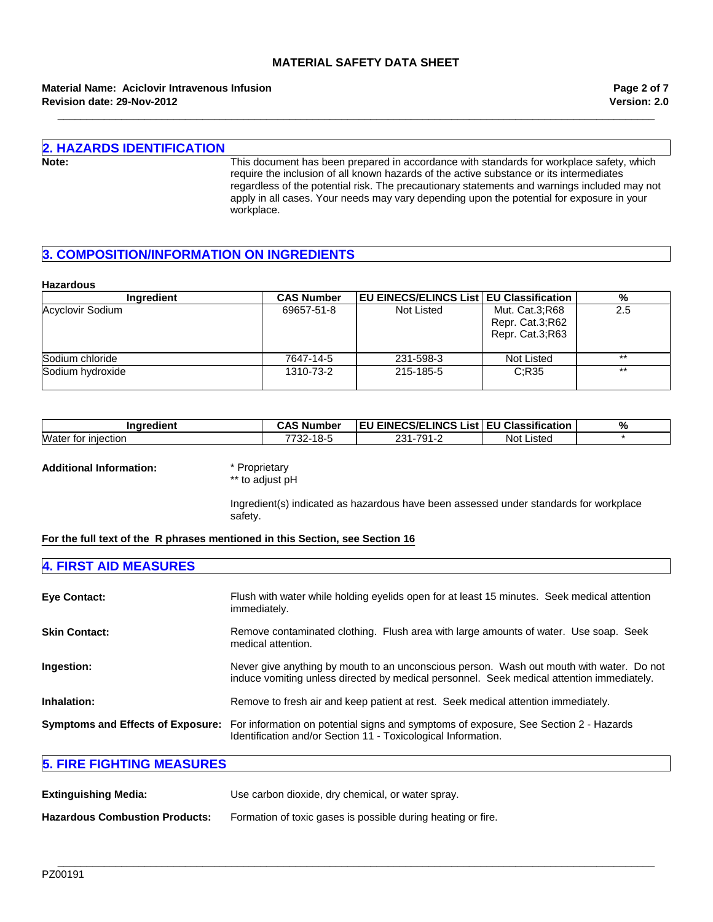**\_\_\_\_\_\_\_\_\_\_\_\_\_\_\_\_\_\_\_\_\_\_\_\_\_\_\_\_\_\_\_\_\_\_\_\_\_\_\_\_\_\_\_\_\_\_\_\_\_\_\_\_\_\_\_\_\_\_\_\_\_\_\_\_\_\_\_\_\_\_\_\_\_\_\_\_\_\_\_\_\_\_\_\_\_\_\_\_\_\_\_\_\_\_\_\_\_\_\_\_\_\_\_**

**Revision date: 29-Nov-2012 Material Name: Aciclovir Intravenous Infusion** **Version: 2.0 Page 2 of 7**

# **2. HAZARDS IDENTIFICATION**

**Note:** This document has been prepared in accordance with standards for workplace safety, which require the inclusion of all known hazards of the active substance or its intermediates regardless of the potential risk. The precautionary statements and warnings included may not apply in all cases. Your needs may vary depending upon the potential for exposure in your workplace.

## **3. COMPOSITION/INFORMATION ON INGREDIENTS**

#### **Hazardous**

| Ingredient       | <b>CAS Number</b> | <b>EU EINECS/ELINCS List   EU Classification</b> |                                                      | %     |
|------------------|-------------------|--------------------------------------------------|------------------------------------------------------|-------|
| Acyclovir Sodium | 69657-51-8        | Not Listed                                       | Mut. Cat.3;R68<br>Repr. Cat.3;R62<br>Repr. Cat.3;R63 | 2.5   |
| Sodium chloride  | 7647-14-5         | 231-598-3                                        | Not Listed                                           | $***$ |
| Sodium hydroxide | 1310-73-2         | 215-185-5                                        | C:R35                                                | $***$ |

| Inaredient                       | CAS<br>'Number د       | <b>EU EINECS/ELINCS List</b> | <b>EU Classification</b> | $\mathbf{0}$<br>70 |
|----------------------------------|------------------------|------------------------------|--------------------------|--------------------|
| Water<br>tor<br><b>Iniection</b> | 7700<br>·18-5<br>-22 - | 791-<br>ດດ 4<br>∠ບ<br>- 20   | Listed<br>Not            |                    |

#### **Additional Information:** \* Proprietary

\*\* to adjust pH

Ingredient(s) indicated as hazardous have been assessed under standards for workplace safety.

### **For the full text of the R phrases mentioned in this Section, see Section 16**

# **4. FIRST AID MEASURES**

| <b>Eye Contact:</b>                      | Flush with water while holding eyelids open for at least 15 minutes. Seek medical attention<br>immediately.                                                                           |
|------------------------------------------|---------------------------------------------------------------------------------------------------------------------------------------------------------------------------------------|
| <b>Skin Contact:</b>                     | Remove contaminated clothing. Flush area with large amounts of water. Use soap. Seek<br>medical attention.                                                                            |
| Ingestion:                               | Never give anything by mouth to an unconscious person. Wash out mouth with water. Do not<br>induce vomiting unless directed by medical personnel. Seek medical attention immediately. |
| Inhalation:                              | Remove to fresh air and keep patient at rest. Seek medical attention immediately.                                                                                                     |
| <b>Symptoms and Effects of Exposure:</b> | For information on potential signs and symptoms of exposure, See Section 2 - Hazards<br>Identification and/or Section 11 - Toxicological Information.                                 |

**\_\_\_\_\_\_\_\_\_\_\_\_\_\_\_\_\_\_\_\_\_\_\_\_\_\_\_\_\_\_\_\_\_\_\_\_\_\_\_\_\_\_\_\_\_\_\_\_\_\_\_\_\_\_\_\_\_\_\_\_\_\_\_\_\_\_\_\_\_\_\_\_\_\_\_\_\_\_\_\_\_\_\_\_\_\_\_\_\_\_\_\_\_\_\_\_\_\_\_\_\_\_\_**

## **5. FIRE FIGHTING MEASURES**

| <b>Extinguishing Media:</b>           | Use carbon dioxide, dry chemical, or water spray.            |
|---------------------------------------|--------------------------------------------------------------|
| <b>Hazardous Combustion Products:</b> | Formation of toxic gases is possible during heating or fire. |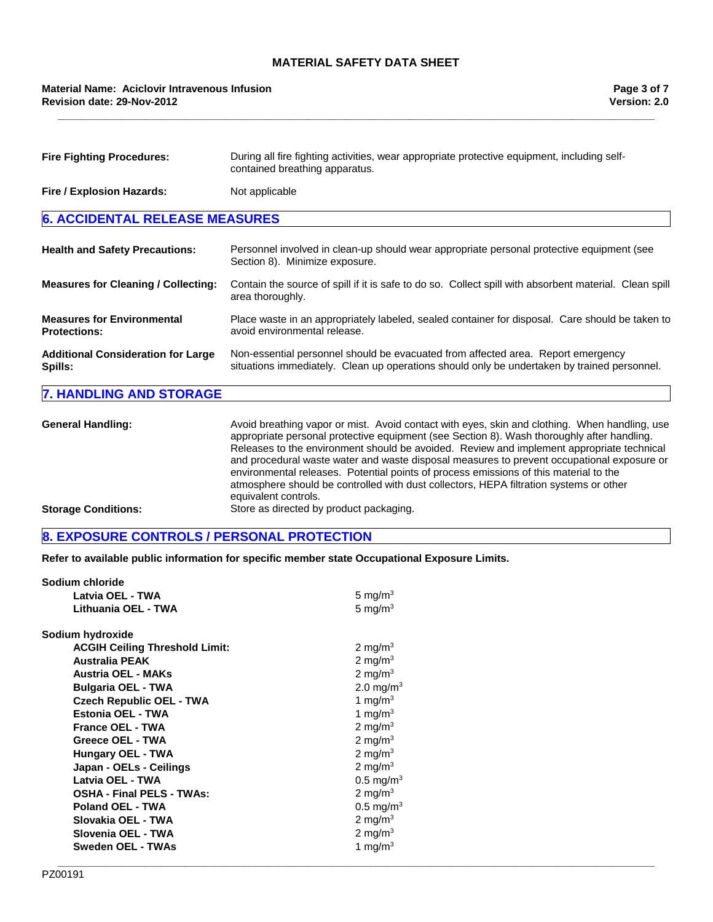**\_\_\_\_\_\_\_\_\_\_\_\_\_\_\_\_\_\_\_\_\_\_\_\_\_\_\_\_\_\_\_\_\_\_\_\_\_\_\_\_\_\_\_\_\_\_\_\_\_\_\_\_\_\_\_\_\_\_\_\_\_\_\_\_\_\_\_\_\_\_\_\_\_\_\_\_\_\_\_\_\_\_\_\_\_\_\_\_\_\_\_\_\_\_\_\_\_\_\_\_\_\_\_**

| <b>Fire Fighting Procedures:</b>                         | During all fire fighting activities, wear appropriate protective equipment, including self-<br>contained breathing apparatus.                                                   |
|----------------------------------------------------------|---------------------------------------------------------------------------------------------------------------------------------------------------------------------------------|
| Fire / Explosion Hazards:                                | Not applicable                                                                                                                                                                  |
| <b>6. ACCIDENTAL RELEASE MEASURES</b>                    |                                                                                                                                                                                 |
| <b>Health and Safety Precautions:</b>                    | Personnel involved in clean-up should wear appropriate personal protective equipment (see<br>Section 8). Minimize exposure.                                                     |
| <b>Measures for Cleaning / Collecting:</b>               | Contain the source of spill if it is safe to do so. Collect spill with absorbent material. Clean spill<br>area thoroughly.                                                      |
| <b>Measures for Environmental</b><br><b>Protections:</b> | Place waste in an appropriately labeled, sealed container for disposal. Care should be taken to<br>avoid environmental release.                                                 |
| <b>Additional Consideration for Large</b><br>Spills:     | Non-essential personnel should be evacuated from affected area. Report emergency<br>situations immediately. Clean up operations should only be undertaken by trained personnel. |
| <b>7. HANDLING AND STORAGE</b>                           |                                                                                                                                                                                 |

| <b>General Handling:</b>   | Avoid breathing vapor or mist. Avoid contact with eyes, skin and clothing. When handling, use<br>appropriate personal protective equipment (see Section 8). Wash thoroughly after handling.<br>Releases to the environment should be avoided. Review and implement appropriate technical<br>and procedural waste water and waste disposal measures to prevent occupational exposure or<br>environmental releases. Potential points of process emissions of this material to the<br>atmosphere should be controlled with dust collectors, HEPA filtration systems or other<br>equivalent controls. |
|----------------------------|---------------------------------------------------------------------------------------------------------------------------------------------------------------------------------------------------------------------------------------------------------------------------------------------------------------------------------------------------------------------------------------------------------------------------------------------------------------------------------------------------------------------------------------------------------------------------------------------------|
| <b>Storage Conditions:</b> | Store as directed by product packaging.                                                                                                                                                                                                                                                                                                                                                                                                                                                                                                                                                           |

# **8. EXPOSURE CONTROLS / PERSONAL PROTECTION**

**Refer to available public information for specific member state Occupational Exposure Limits.**

| Sodium chloride                       |                       |  |
|---------------------------------------|-----------------------|--|
| Latvia OEL - TWA                      | 5 mg/m <sup>3</sup>   |  |
| Lithuania OEL - TWA                   | 5 mg/m $3$            |  |
| Sodium hydroxide                      |                       |  |
| <b>ACGIH Ceiling Threshold Limit:</b> | 2 mg/m <sup>3</sup>   |  |
| <b>Australia PEAK</b>                 | 2 mg/m $3$            |  |
| <b>Austria OEL - MAKs</b>             | 2 mg/m $3$            |  |
| <b>Bulgaria OEL - TWA</b>             | 2.0 mg/m <sup>3</sup> |  |
| <b>Czech Republic OEL - TWA</b>       | 1 mg/m $3$            |  |
| Estonia OEL - TWA                     | 1 mg/m $3$            |  |
| <b>France OEL - TWA</b>               | 2 mg/m <sup>3</sup>   |  |
| <b>Greece OEL - TWA</b>               | 2 mg/m $3$            |  |
| <b>Hungary OEL - TWA</b>              | 2 mg/m $3$            |  |
| Japan - OELs - Ceilings               | 2 mg/m $3$            |  |
| Latvia OEL - TWA                      | $0.5 \text{ mg/m}^3$  |  |
| <b>OSHA - Final PELS - TWAs:</b>      | 2 mg/m $3$            |  |
| <b>Poland OEL - TWA</b>               | $0.5 \text{ mg/m}^3$  |  |
| Slovakia OEL - TWA                    | 2 mg/m <sup>3</sup>   |  |
| Slovenia OEL - TWA                    | 2 mg/m $3$            |  |
| Sweden OEL - TWAs                     | 1 mg/m $3$            |  |
|                                       |                       |  |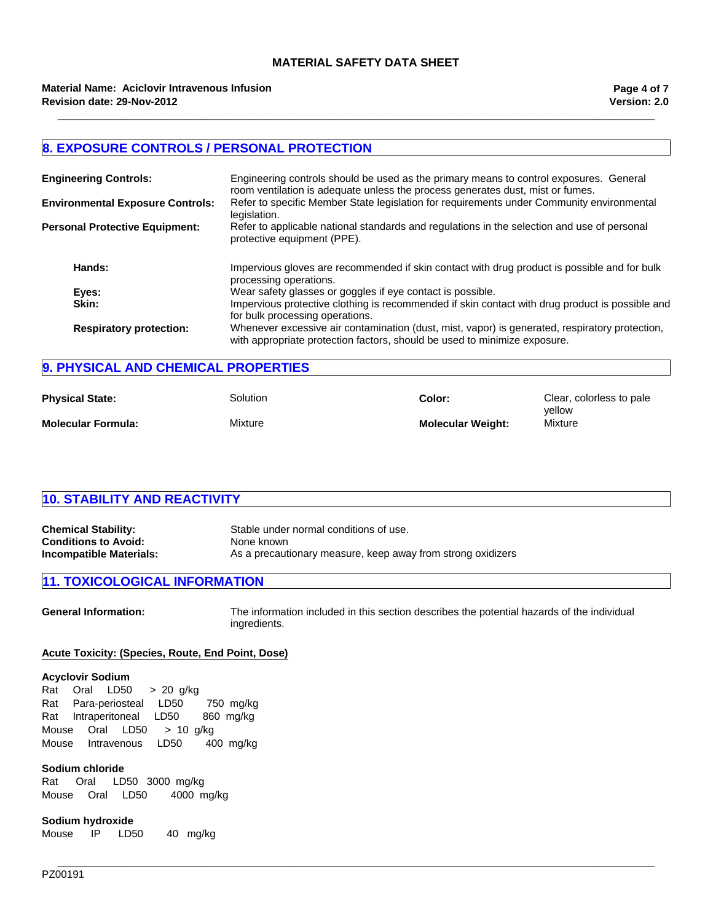**\_\_\_\_\_\_\_\_\_\_\_\_\_\_\_\_\_\_\_\_\_\_\_\_\_\_\_\_\_\_\_\_\_\_\_\_\_\_\_\_\_\_\_\_\_\_\_\_\_\_\_\_\_\_\_\_\_\_\_\_\_\_\_\_\_\_\_\_\_\_\_\_\_\_\_\_\_\_\_\_\_\_\_\_\_\_\_\_\_\_\_\_\_\_\_\_\_\_\_\_\_\_\_**

## **8. EXPOSURE CONTROLS / PERSONAL PROTECTION**

| <b>Engineering Controls:</b>            | Engineering controls should be used as the primary means to control exposures. General<br>room ventilation is adequate unless the process generates dust, mist or fumes.    |
|-----------------------------------------|-----------------------------------------------------------------------------------------------------------------------------------------------------------------------------|
| <b>Environmental Exposure Controls:</b> | Refer to specific Member State legislation for requirements under Community environmental<br>legislation.                                                                   |
| <b>Personal Protective Equipment:</b>   | Refer to applicable national standards and regulations in the selection and use of personal<br>protective equipment (PPE).                                                  |
| Hands:                                  | Impervious gloves are recommended if skin contact with drug product is possible and for bulk<br>processing operations.                                                      |
| Eyes:                                   | Wear safety glasses or goggles if eye contact is possible.                                                                                                                  |
| Skin:                                   | Impervious protective clothing is recommended if skin contact with drug product is possible and<br>for bulk processing operations.                                          |
| <b>Respiratory protection:</b>          | Whenever excessive air contamination (dust, mist, vapor) is generated, respiratory protection,<br>with appropriate protection factors, should be used to minimize exposure. |

## **9. PHYSICAL AND CHEMICAL PROPERTIES**

| <b>Physical State:</b>    | Solution | Color:                   | Clear, colorless to pale<br>vellow |
|---------------------------|----------|--------------------------|------------------------------------|
| <b>Molecular Formula:</b> | Mixture  | <b>Molecular Weight:</b> | Mixture                            |

| <b>10. STABILITY AND REACTIVITY</b> |                                       |  |
|-------------------------------------|---------------------------------------|--|
|                                     |                                       |  |
| Chemical Stability:                 | Stable under normal conditions of use |  |

| <b>Chemical Stability:</b>  | Stable under normal conditions of use.                      |
|-----------------------------|-------------------------------------------------------------|
| <b>Conditions to Avoid:</b> | None known                                                  |
| Incompatible Materials:     | As a precautionary measure, keep away from strong oxidizers |

## **11. TOXICOLOGICAL INFORMATION**

**General Information:** The information included in this section describes the potential hazards of the individual ingredients.

**\_\_\_\_\_\_\_\_\_\_\_\_\_\_\_\_\_\_\_\_\_\_\_\_\_\_\_\_\_\_\_\_\_\_\_\_\_\_\_\_\_\_\_\_\_\_\_\_\_\_\_\_\_\_\_\_\_\_\_\_\_\_\_\_\_\_\_\_\_\_\_\_\_\_\_\_\_\_\_\_\_\_\_\_\_\_\_\_\_\_\_\_\_\_\_\_\_\_\_\_\_\_\_**

## **Acute Toxicity: (Species, Route, End Point, Dose)**

#### **Acyclovir Sodium**

RatIntraperitonealLD50 860mg/kg MouseOralLD50 >10g/kg MouseIntravenousLD50 400mg/kg RatOralLD50 >20g/kg RatPara-periostealLD50 750mg/kg

#### **Sodium chloride**

Rat Oral LD50 3000mg/kg MouseOralLD50 4000mg/kg

#### **Sodium hydroxide**

Mouse IP LD50 40 mg/kg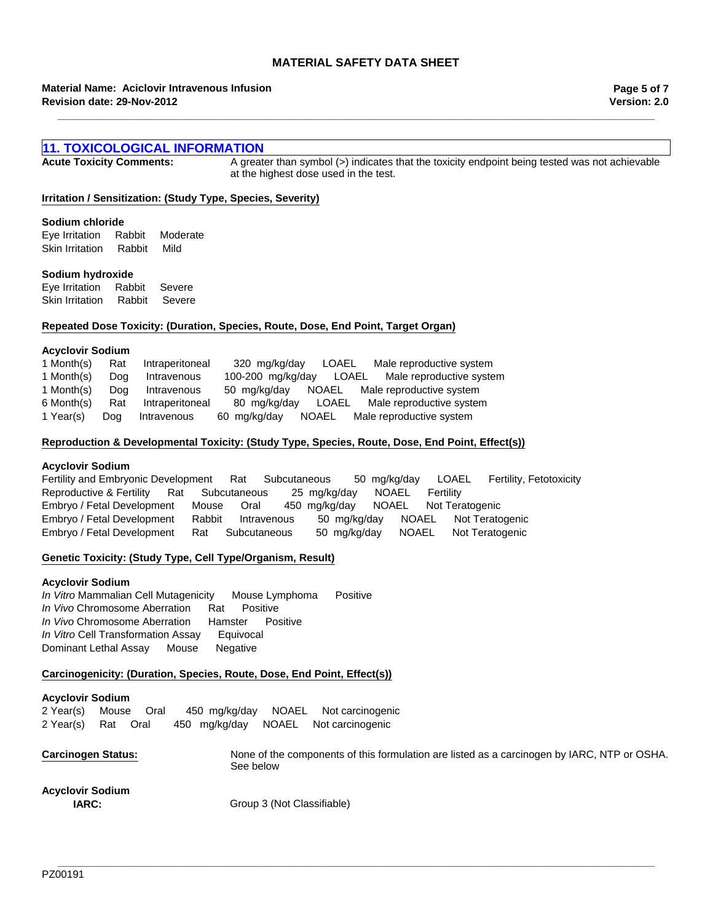**\_\_\_\_\_\_\_\_\_\_\_\_\_\_\_\_\_\_\_\_\_\_\_\_\_\_\_\_\_\_\_\_\_\_\_\_\_\_\_\_\_\_\_\_\_\_\_\_\_\_\_\_\_\_\_\_\_\_\_\_\_\_\_\_\_\_\_\_\_\_\_\_\_\_\_\_\_\_\_\_\_\_\_\_\_\_\_\_\_\_\_\_\_\_\_\_\_\_\_\_\_\_\_**

#### **Revision date: 29-Nov-2012 Material Name: Aciclovir Intravenous Infusion**

**Version: 2.0 Page 5 of 7**

## **11. TOXICOLOGICAL INFORMATION**

**Acute Toxicity Comments:** A greater than symbol (>) indicates that the toxicity endpoint being tested was not achievable at the highest dose used in the test.

#### **Irritation / Sensitization: (Study Type, Species, Severity)**

#### **Sodium chloride**

Skin IrritationRabbitMild Eye IrritationRabbitModerate

#### **Sodium hydroxide**

Eye IrritationRabbitSevere Skin IrritationRabbitSevere

#### **Repeated Dose Toxicity: (Duration, Species, Route, Dose, End Point, Target Organ)**

#### **Acyclovir Sodium**

| 1 Month(s) | Rat | Intraperitoneal | 320 mg/kg/day     | LOAEL | Male reproductive system       |
|------------|-----|-----------------|-------------------|-------|--------------------------------|
| 1 Month(s) | Dog | Intravenous     | 100-200 mg/kg/day |       | LOAEL Male reproductive system |
| 1 Month(s) | Dog | Intravenous     | 50 mg/kg/day      | NOAEL | Male reproductive system       |
| 6 Month(s) | Rat | Intraperitoneal | 80 mg/kg/day      | LOAEL | Male reproductive system       |
| 1 Year(s)  | Doa | Intravenous     | 60 mg/kg/day      | NOAEL | Male reproductive system       |

#### **Reproduction & Developmental Toxicity: (Study Type, Species, Route, Dose, End Point, Effect(s))**

#### **Acyclovir Sodium**

Embryo / Fetal DevelopmentRatSubcutaneous50mg/kg/dayNOAELNot Teratogenic Fertility and Embryonic DevelopmentRatSubcutaneous50mg/kg/dayLOAELFertility, Fetotoxicity Reproductive & FertilityRatSubcutaneous25mg/kg/dayNOAELFertility Embryo / Fetal DevelopmentMouseOral450mg/kg/dayNOAELNot Teratogenic Embryo / Fetal DevelopmentRabbitIntravenous50mg/kg/dayNOAELNot Teratogenic

#### **Genetic Toxicity: (Study Type, Cell Type/Organism, Result)**

#### **Acyclovir Sodium**

*In Vitro* Mammalian Cell MutagenicityMouse LymphomaPositive *In Vivo* Chromosome AberrationRatPositive *In Vivo* Chromosome AberrationHamsterPositive *In Vitro* Cell Transformation AssayEquivocal Dominant Lethal AssayMouseNegative

#### **Carcinogenicity: (Duration, Species, Route, Dose, End Point, Effect(s))**

#### **Acyclovir Sodium**

| 2 Year(s) Mouse Oral |  |  | 450 mg/kg/day NOAEL Not carcinogenic |
|----------------------|--|--|--------------------------------------|
| 2 Year(s) Rat Oral   |  |  | 450 mg/kg/day NOAEL Not carcinogenic |

**Carcinogen Status:** None of the components of this formulation are listed as a carcinogen by IARC, NTP or OSHA. See below

**\_\_\_\_\_\_\_\_\_\_\_\_\_\_\_\_\_\_\_\_\_\_\_\_\_\_\_\_\_\_\_\_\_\_\_\_\_\_\_\_\_\_\_\_\_\_\_\_\_\_\_\_\_\_\_\_\_\_\_\_\_\_\_\_\_\_\_\_\_\_\_\_\_\_\_\_\_\_\_\_\_\_\_\_\_\_\_\_\_\_\_\_\_\_\_\_\_\_\_\_\_\_\_**

# **Acyclovir Sodium**

**IARC:** Group 3 (Not Classifiable)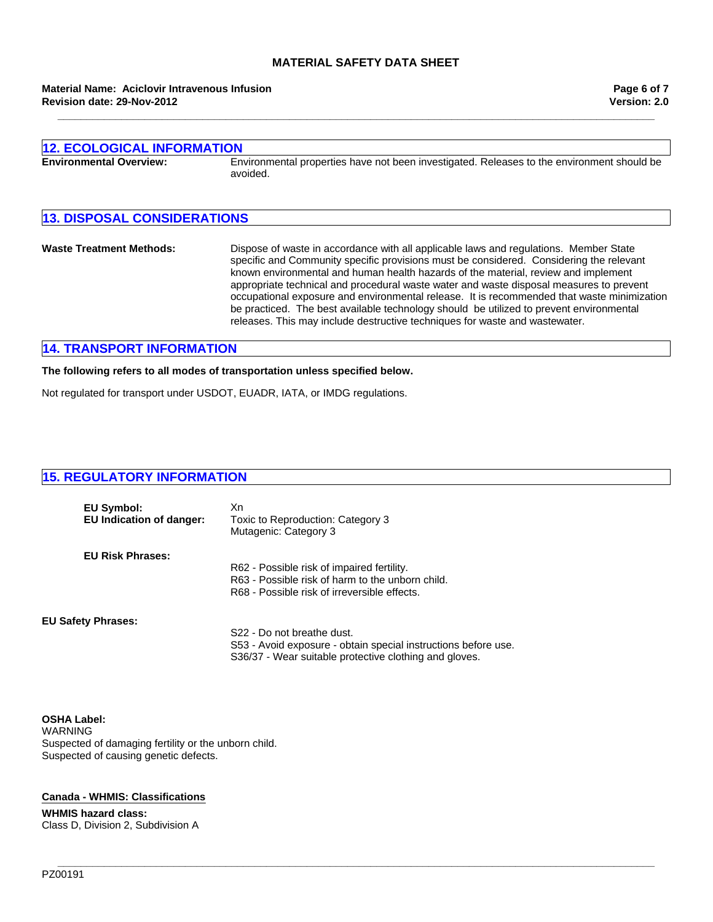**\_\_\_\_\_\_\_\_\_\_\_\_\_\_\_\_\_\_\_\_\_\_\_\_\_\_\_\_\_\_\_\_\_\_\_\_\_\_\_\_\_\_\_\_\_\_\_\_\_\_\_\_\_\_\_\_\_\_\_\_\_\_\_\_\_\_\_\_\_\_\_\_\_\_\_\_\_\_\_\_\_\_\_\_\_\_\_\_\_\_\_\_\_\_\_\_\_\_\_\_\_\_\_**

#### **Revision date: 29-Nov-2012 Material Name: Aciclovir Intravenous Infusion**

| <b>12. ECOLOGICAL INFORMATION</b>  |                                                                                                                                                                                                                                                                                                                                                                                                                                                                                                                                                                                                                                           |  |  |
|------------------------------------|-------------------------------------------------------------------------------------------------------------------------------------------------------------------------------------------------------------------------------------------------------------------------------------------------------------------------------------------------------------------------------------------------------------------------------------------------------------------------------------------------------------------------------------------------------------------------------------------------------------------------------------------|--|--|
| <b>Environmental Overview:</b>     | Environmental properties have not been investigated. Releases to the environment should be<br>avoided.                                                                                                                                                                                                                                                                                                                                                                                                                                                                                                                                    |  |  |
| <b>13. DISPOSAL CONSIDERATIONS</b> |                                                                                                                                                                                                                                                                                                                                                                                                                                                                                                                                                                                                                                           |  |  |
| <b>Waste Treatment Methods:</b>    | Dispose of waste in accordance with all applicable laws and regulations. Member State<br>specific and Community specific provisions must be considered. Considering the relevant<br>known environmental and human health hazards of the material, review and implement<br>appropriate technical and procedural waste water and waste disposal measures to prevent<br>occupational exposure and environmental release. It is recommended that waste minimization<br>be practiced. The best available technology should be utilized to prevent environmental<br>releases. This may include destructive techniques for waste and wastewater. |  |  |

## **14. TRANSPORT INFORMATION**

## **The following refers to all modes of transportation unless specified below.**

Not regulated for transport under USDOT, EUADR, IATA, or IMDG regulations.

## **15. REGULATORY INFORMATION**

| EU Symbol:<br><b>EU Indication of danger:</b> | Xn<br>Toxic to Reproduction: Category 3<br>Mutagenic: Category 3                                                         |
|-----------------------------------------------|--------------------------------------------------------------------------------------------------------------------------|
| <b>EU Risk Phrases:</b>                       | R62 - Possible risk of impaired fertility.                                                                               |
|                                               | R63 - Possible risk of harm to the unborn child.                                                                         |
|                                               | R68 - Possible risk of irreversible effects.                                                                             |
| <b>EU Safety Phrases:</b>                     |                                                                                                                          |
|                                               | S <sub>22</sub> - Do not breathe dust.                                                                                   |
|                                               | S53 - Avoid exposure - obtain special instructions before use.<br>S36/37 - Wear suitable protective clothing and gloves. |

**\_\_\_\_\_\_\_\_\_\_\_\_\_\_\_\_\_\_\_\_\_\_\_\_\_\_\_\_\_\_\_\_\_\_\_\_\_\_\_\_\_\_\_\_\_\_\_\_\_\_\_\_\_\_\_\_\_\_\_\_\_\_\_\_\_\_\_\_\_\_\_\_\_\_\_\_\_\_\_\_\_\_\_\_\_\_\_\_\_\_\_\_\_\_\_\_\_\_\_\_\_\_\_**

**OSHA Label:** WARNING Suspected of damaging fertility or the unborn child. Suspected of causing genetic defects.

## **Canada - WHMIS: Classifications**

**WHMIS hazard class:** Class D, Division 2, Subdivision A